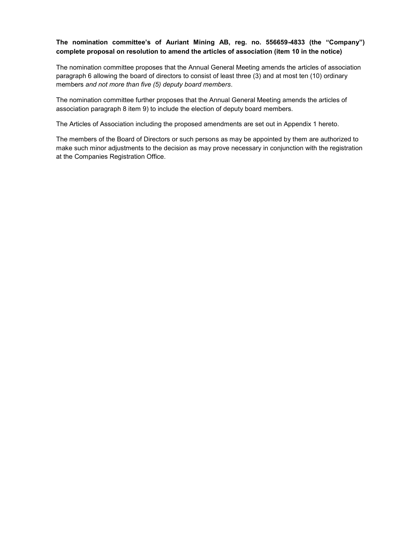# **The nomination committee's of Auriant Mining AB, reg. no. 556659-4833 (the "Company") complete proposal on resolution to amend the articles of association (item 10 in the notice)**

The nomination committee proposes that the Annual General Meeting amends the articles of association paragraph 6 allowing the board of directors to consist of least three (3) and at most ten (10) ordinary members *and not more than five (5) deputy board members*.

The nomination committee further proposes that the Annual General Meeting amends the articles of association paragraph 8 item 9) to include the election of deputy board members.

The Articles of Association including the proposed amendments are set out in Appendix 1 hereto.

The members of the Board of Directors or such persons as may be appointed by them are authorized to make such minor adjustments to the decision as may prove necessary in conjunction with the registration at the Companies Registration Office.